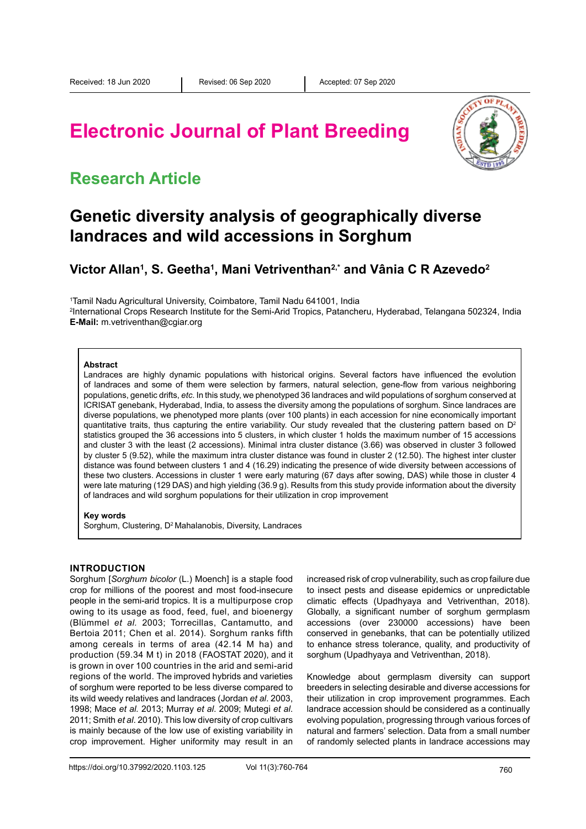# **Electronic Journal of Plant Breeding**



# **Research Article**

# **Genetic diversity analysis of geographically diverse landraces and wild accessions in Sorghum**

**Victor Allan1 , S. Geetha1 , Mani Vetriventhan2,\* and Vânia C R Azevedo2**

1 Tamil Nadu Agricultural University, Coimbatore, Tamil Nadu 641001, India

2 International Crops Research Institute for the Semi-Arid Tropics, Patancheru, Hyderabad, Telangana 502324, India **E-Mail:** m.vetriventhan@cgiar.org

#### **Abstract**

Landraces are highly dynamic populations with historical origins. Several factors have influenced the evolution of landraces and some of them were selection by farmers, natural selection, gene-flow from various neighboring populations, genetic drifts, *etc*. In this study, we phenotyped 36 landraces and wild populations of sorghum conserved at ICRISAT genebank, Hyderabad, India, to assess the diversity among the populations of sorghum. Since landraces are diverse populations, we phenotyped more plants (over 100 plants) in each accession for nine economically important quantitative traits, thus capturing the entire variability. Our study revealed that the clustering pattern based on  $D<sup>2</sup>$ statistics grouped the 36 accessions into 5 clusters, in which cluster 1 holds the maximum number of 15 accessions and cluster 3 with the least (2 accessions). Minimal intra cluster distance (3.66) was observed in cluster 3 followed by cluster 5 (9.52), while the maximum intra cluster distance was found in cluster 2 (12.50). The highest inter cluster distance was found between clusters 1 and 4 (16.29) indicating the presence of wide diversity between accessions of these two clusters. Accessions in cluster 1 were early maturing (67 days after sowing, DAS) while those in cluster 4 were late maturing (129 DAS) and high yielding (36.9 g). Results from this study provide information about the diversity of landraces and wild sorghum populations for their utilization in crop improvement

#### **Key words**

Sorghum, Clustering, D<sup>2</sup> Mahalanobis, Diversity, Landraces

### **Introduction**

Sorghum [*Sorghum bicolor* (L.) Moench] is a staple food crop for millions of the poorest and most food-insecure people in the semi-arid tropics. It is a multipurpose crop owing to its usage as food, feed, fuel, and bioenergy (Blümmel *et al.* 2003; Torrecillas, Cantamutto, and Bertoia 2011; Chen et al. 2014). Sorghum ranks fifth among cereals in terms of area (42.14 M ha) and production (59.34 M t) in 2018 (FAOSTAT 2020), and it is grown in over 100 countries in the arid and semi-arid regions of the world. The improved hybrids and varieties of sorghum were reported to be less diverse compared to its wild weedy relatives and landraces (Jordan *et al*. 2003, 1998; Mace *et al.* 2013; Murray *et al*. 2009; Mutegi *et al*. 2011; Smith *et al*. 2010). This low diversity of crop cultivars is mainly because of the low use of existing variability in crop improvement. Higher uniformity may result in an

increased risk of crop vulnerability, such as crop failure due to insect pests and disease epidemics or unpredictable climatic effects (Upadhyaya and Vetriventhan, 2018). Globally, a significant number of sorghum germplasm accessions (over 230000 accessions) have been conserved in genebanks, that can be potentially utilized to enhance stress tolerance, quality, and productivity of sorghum (Upadhyaya and Vetriventhan, 2018).

Knowledge about germplasm diversity can support breeders in selecting desirable and diverse accessions for their utilization in crop improvement programmes. Each landrace accession should be considered as a continually evolving population, progressing through various forces of natural and farmers' selection. Data from a small number of randomly selected plants in landrace accessions may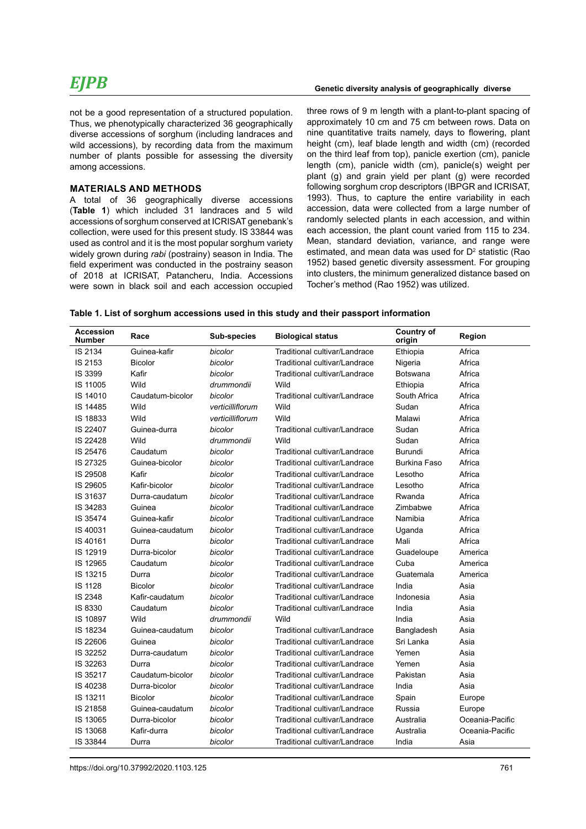not be a good representation of a structured population. Thus, we phenotypically characterized 36 geographically diverse accessions of sorghum (including landraces and wild accessions), by recording data from the maximum number of plants possible for assessing the diversity among accessions.

### **Materials and methods**

A total of 36 geographically diverse accessions (**Table 1**) which included 31 landraces and 5 wild accessions of sorghum conserved at ICRISAT genebank's collection, were used for this present study. IS 33844 was used as control and it is the most popular sorghum variety widely grown during *rabi* (postrainy) season in India. The field experiment was conducted in the postrainy season of 2018 at ICRISAT, Patancheru, India. Accessions were sown in black soil and each accession occupied three rows of 9 m length with a plant-to-plant spacing of approximately 10 cm and 75 cm between rows. Data on nine quantitative traits namely, days to flowering, plant height (cm), leaf blade length and width (cm) (recorded on the third leaf from top), panicle exertion (cm), panicle length (cm), panicle width (cm), panicle(s) weight per plant (g) and grain yield per plant (g) were recorded following sorghum crop descriptors (IBPGR and ICRISAT, 1993). Thus, to capture the entire variability in each accession, data were collected from a large number of randomly selected plants in each accession, and within each accession, the plant count varied from 115 to 234. Mean, standard deviation, variance, and range were estimated, and mean data was used for  $D<sup>2</sup>$  statistic (Rao 1952) based genetic diversity assessment. For grouping into clusters, the minimum generalized distance based on Tocher's method (Rao 1952) was utilized.

| Table 1. List of sorghum accessions used in this study and their passport information |  |  |
|---------------------------------------------------------------------------------------|--|--|
|---------------------------------------------------------------------------------------|--|--|

| <b>Accession</b><br><b>Number</b> | Race             | Sub-species      | <b>Biological status</b>      | <b>Country of</b><br>origin | Region          |
|-----------------------------------|------------------|------------------|-------------------------------|-----------------------------|-----------------|
| IS 2134                           | Guinea-kafir     | bicolor          | Traditional cultivar/Landrace | Ethiopia                    | Africa          |
| IS 2153                           | <b>Bicolor</b>   | bicolor          | Traditional cultivar/Landrace | Nigeria                     | Africa          |
| IS 3399                           | Kafir            | bicolor          | Traditional cultivar/Landrace | <b>Botswana</b>             | Africa          |
| IS 11005                          | Wild             | drummondii       | Wild                          | Ethiopia                    | Africa          |
| IS 14010                          | Caudatum-bicolor | bicolor          | Traditional cultivar/Landrace | South Africa                | Africa          |
| IS 14485                          | Wild             | verticilliflorum | Wild                          | Sudan                       | Africa          |
| IS 18833                          | Wild             | verticilliflorum | Wild                          | Malawi                      | Africa          |
| IS 22407                          | Guinea-durra     | bicolor          | Traditional cultivar/Landrace | Sudan                       | Africa          |
| IS 22428                          | Wild             | drummondii       | Wild                          | Sudan                       | Africa          |
| IS 25476                          | Caudatum         | bicolor          | Traditional cultivar/Landrace | <b>Burundi</b>              | Africa          |
| IS 27325                          | Guinea-bicolor   | bicolor          | Traditional cultivar/Landrace | Burkina Faso                | Africa          |
| IS 29508                          | Kafir            | bicolor          | Traditional cultivar/Landrace | Lesotho                     | Africa          |
| IS 29605                          | Kafir-bicolor    | bicolor          | Traditional cultivar/Landrace | Lesotho                     | Africa          |
| IS 31637                          | Durra-caudatum   | bicolor          | Traditional cultivar/Landrace | Rwanda                      | Africa          |
| IS 34283                          | Guinea           | bicolor          | Traditional cultivar/Landrace | Zimbabwe                    | Africa          |
| IS 35474                          | Guinea-kafir     | bicolor          | Traditional cultivar/Landrace | Namibia                     | Africa          |
| IS 40031                          | Guinea-caudatum  | bicolor          | Traditional cultivar/Landrace | Uganda                      | Africa          |
| IS 40161                          | Durra            | bicolor          | Traditional cultivar/Landrace | Mali                        | Africa          |
| IS 12919                          | Durra-bicolor    | bicolor          | Traditional cultivar/Landrace | Guadeloupe                  | America         |
| IS 12965                          | Caudatum         | bicolor          | Traditional cultivar/Landrace | Cuba                        | America         |
| IS 13215                          | Durra            | bicolor          | Traditional cultivar/Landrace | Guatemala                   | America         |
| <b>IS 1128</b>                    | <b>Bicolor</b>   | bicolor          | Traditional cultivar/Landrace | India                       | Asia            |
| IS 2348                           | Kafir-caudatum   | bicolor          | Traditional cultivar/Landrace | Indonesia                   | Asia            |
| IS 8330                           | Caudatum         | bicolor          | Traditional cultivar/Landrace | India                       | Asia            |
| IS 10897                          | Wild             | drummondii       | Wild                          | India                       | Asia            |
| IS 18234                          | Guinea-caudatum  | bicolor          | Traditional cultivar/Landrace | Bangladesh                  | Asia            |
| IS 22606                          | Guinea           | bicolor          | Traditional cultivar/Landrace | Sri Lanka                   | Asia            |
| IS 32252                          | Durra-caudatum   | bicolor          | Traditional cultivar/Landrace | Yemen                       | Asia            |
| IS 32263                          | Durra            | bicolor          | Traditional cultivar/Landrace | Yemen                       | Asia            |
| IS 35217                          | Caudatum-bicolor | bicolor          | Traditional cultivar/Landrace | Pakistan                    | Asia            |
| IS 40238                          | Durra-bicolor    | bicolor          | Traditional cultivar/Landrace | India                       | Asia            |
| IS 13211                          | <b>Bicolor</b>   | bicolor          | Traditional cultivar/Landrace | Spain                       | Europe          |
| IS 21858                          | Guinea-caudatum  | bicolor          | Traditional cultivar/Landrace | Russia                      | Europe          |
| IS 13065                          | Durra-bicolor    | bicolor          | Traditional cultivar/Landrace | Australia                   | Oceania-Pacific |
| IS 13068                          | Kafir-durra      | bicolor          | Traditional cultivar/Landrace | Australia                   | Oceania-Pacific |
| IS 33844                          | Durra            | bicolor          | Traditional cultivar/Landrace | India                       | Asia            |

https://doi.org/10.37992/2020.1103.125 761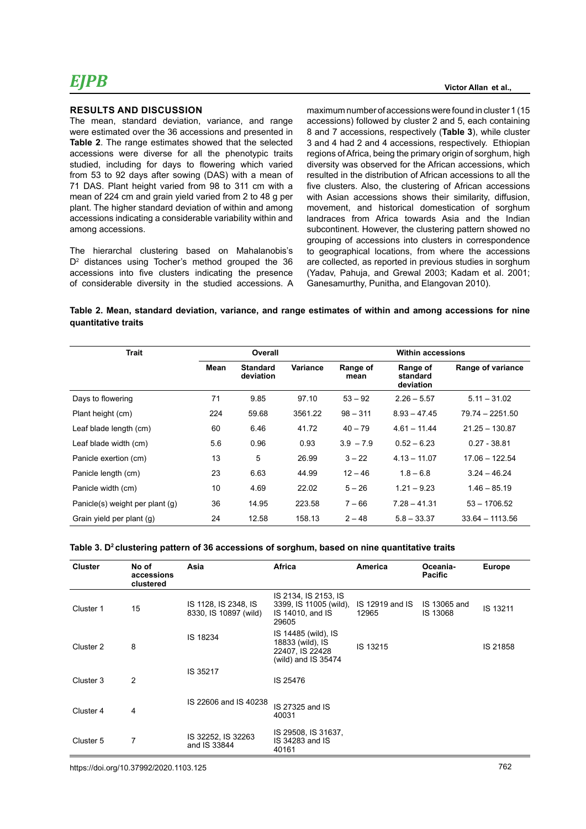#### **Results and Discussion**

The mean, standard deviation, variance, and range were estimated over the 36 accessions and presented in **Table 2**. The range estimates showed that the selected accessions were diverse for all the phenotypic traits studied, including for days to flowering which varied from 53 to 92 days after sowing (DAS) with a mean of 71 DAS. Plant height varied from 98 to 311 cm with a mean of 224 cm and grain yield varied from 2 to 48 g per plant. The higher standard deviation of within and among accessions indicating a considerable variability within and among accessions.

The hierarchal clustering based on Mahalanobis's D<sup>2</sup> distances using Tocher's method grouped the 36 accessions into five clusters indicating the presence of considerable diversity in the studied accessions. A

maximum number of accessions were found in cluster 1 (15 accessions) followed by cluster 2 and 5, each containing 8 and 7 accessions, respectively (**Table 3**), while cluster 3 and 4 had 2 and 4 accessions, respectively. Ethiopian regions of Africa, being the primary origin of sorghum, high diversity was observed for the African accessions, which resulted in the distribution of African accessions to all the five clusters. Also, the clustering of African accessions with Asian accessions shows their similarity, diffusion, movement, and historical domestication of sorghum landraces from Africa towards Asia and the Indian subcontinent. However, the clustering pattern showed no grouping of accessions into clusters in correspondence to geographical locations, from where the accessions are collected, as reported in previous studies in sorghum (Yadav, Pahuja, and Grewal 2003; Kadam et al. 2001; Ganesamurthy, Punitha, and Elangovan 2010).

**Victor Allan et al.,**

### **Table 2. Mean, standard deviation, variance, and range estimates of within and among accessions for nine quantitative traits**

| <b>Trait</b>                    |      | Overall                      |          |                  | <b>Within accessions</b>          |                   |  |  |
|---------------------------------|------|------------------------------|----------|------------------|-----------------------------------|-------------------|--|--|
|                                 | Mean | <b>Standard</b><br>deviation | Variance | Range of<br>mean | Range of<br>standard<br>deviation | Range of variance |  |  |
| Days to flowering               | 71   | 9.85                         | 97.10    | $53 - 92$        | $2.26 - 5.57$                     | $5.11 - 31.02$    |  |  |
| Plant height (cm)               | 224  | 59.68                        | 3561.22  | $98 - 311$       | $8.93 - 47.45$                    | 79.74 - 2251.50   |  |  |
| Leaf blade length (cm)          | 60   | 6.46                         | 41.72    | $40 - 79$        | $4.61 - 11.44$                    | $21.25 - 130.87$  |  |  |
| Leaf blade width (cm)           | 5.6  | 0.96                         | 0.93     | $3.9 - 7.9$      | $0.52 - 6.23$                     | $0.27 - 38.81$    |  |  |
| Panicle exertion (cm)           | 13   | 5                            | 26.99    | $3 - 22$         | $4.13 - 11.07$                    | $17.06 - 122.54$  |  |  |
| Panicle length (cm)             | 23   | 6.63                         | 44.99    | $12 - 46$        | $1.8 - 6.8$                       | $3.24 - 46.24$    |  |  |
| Panicle width (cm)              | 10   | 4.69                         | 22.02    | $5 - 26$         | $1.21 - 9.23$                     | $1.46 - 85.19$    |  |  |
| Panicle(s) weight per plant (g) | 36   | 14.95                        | 223.58   | $7 - 66$         | $7.28 - 41.31$                    | $53 - 1706.52$    |  |  |
| Grain yield per plant (g)       | 24   | 12.58                        | 158.13   | $2 - 48$         | $5.8 - 33.37$                     | $33.64 - 1113.56$ |  |  |

#### Table 3. D<sup>2</sup> clustering pattern of 36 accessions of sorghum, based on nine quantitative traits

| <b>Cluster</b> | No of<br>accessions<br>clustered | Asia                                          | Africa                                                                            | <b>America</b>           | Oceania-<br><b>Pacific</b> | <b>Europe</b> |
|----------------|----------------------------------|-----------------------------------------------|-----------------------------------------------------------------------------------|--------------------------|----------------------------|---------------|
| Cluster 1      | 15                               | IS 1128, IS 2348, IS<br>8330, IS 10897 (wild) | IS 2134, IS 2153, IS<br>3399, IS 11005 (wild),<br>IS 14010, and IS<br>29605       | IS 12919 and IS<br>12965 | IS 13065 and<br>IS 13068   | IS 13211      |
| Cluster 2      | 8                                | IS 18234                                      | IS 14485 (wild), IS<br>18833 (wild), IS<br>22407, IS 22428<br>(wild) and IS 35474 | IS 13215                 |                            | IS 21858      |
| Cluster 3      | $\overline{2}$                   | IS 35217                                      | IS 25476                                                                          |                          |                            |               |
| Cluster 4      | 4                                | IS 22606 and IS 40238                         | IS 27325 and IS<br>40031                                                          |                          |                            |               |
| Cluster 5      | 7                                | IS 32252, IS 32263<br>and IS 33844            | IS 29508, IS 31637,<br>IS 34283 and IS<br>40161                                   |                          |                            |               |

https://doi.org/10.37992/2020.1103.125 762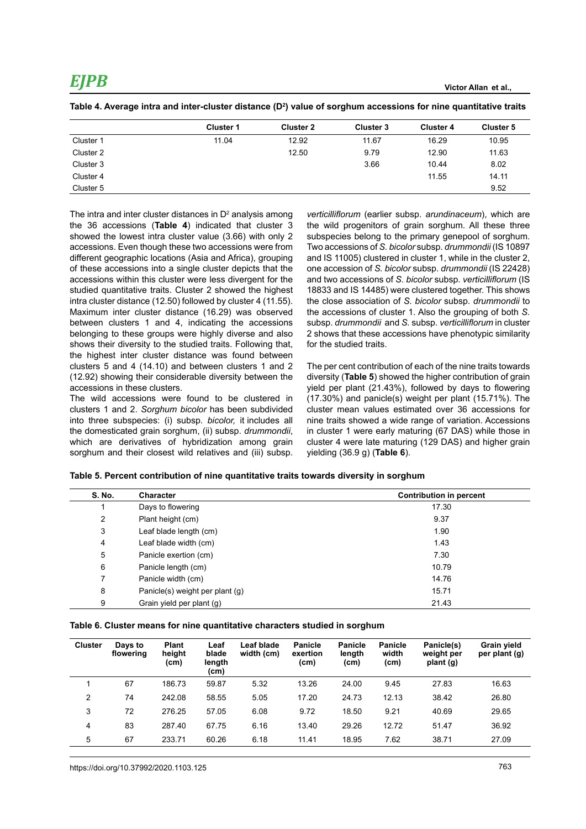|           | <b>Cluster 1</b> | <b>Cluster 2</b> | <b>Cluster 3</b> | <b>Cluster 4</b> | <b>Cluster 5</b> |
|-----------|------------------|------------------|------------------|------------------|------------------|
| Cluster 1 | 11.04            | 12.92            | 11.67            | 16.29            | 10.95            |
| Cluster 2 |                  | 12.50            | 9.79             | 12.90            | 11.63            |
| Cluster 3 |                  |                  | 3.66             | 10.44            | 8.02             |
| Cluster 4 |                  |                  |                  | 11.55            | 14.11            |
| Cluster 5 |                  |                  |                  |                  | 9.52             |

**Table 4. Average intra and inter-cluster distance (D2 ) value of sorghum accessions for nine quantitative traits** 

The intra and inter cluster distances in  $D^2$  analysis among the 36 accessions (**Table 4**) indicated that cluster 3 showed the lowest intra cluster value (3.66) with only 2 accessions. Even though these two accessions were from different geographic locations (Asia and Africa), grouping of these accessions into a single cluster depicts that the accessions within this cluster were less divergent for the studied quantitative traits. Cluster 2 showed the highest intra cluster distance (12.50) followed by cluster 4 (11.55). Maximum inter cluster distance (16.29) was observed between clusters 1 and 4, indicating the accessions belonging to these groups were highly diverse and also shows their diversity to the studied traits. Following that, the highest inter cluster distance was found between clusters 5 and 4 (14.10) and between clusters 1 and 2 (12.92) showing their considerable diversity between the accessions in these clusters.

The wild accessions were found to be clustered in clusters 1 and 2. *Sorghum bicolor* has been subdivided into three subspecies: (i) subsp. *bicolor,* it includes all the domesticated grain sorghum, (ii) subsp. *drummondii*, which are derivatives of hybridization among grain sorghum and their closest wild relatives and (iii) subsp. *verticilliflorum* (earlier subsp. *arundinaceum*), which are the wild progenitors of grain sorghum. All these three subspecies belong to the primary genepool of sorghum. Two accessions of *S. bicolor* subsp. *drummondii* (IS 10897 and IS 11005) clustered in cluster 1, while in the cluster 2, one accession of *S. bicolor* subsp. *drummondii* (IS 22428) and two accessions of *S*. *bicolor* subsp. *verticilliflorum* (IS 18833 and IS 14485) were clustered together. This shows the close association of *S. bicolor* subsp. *drummondii* to the accessions of cluster 1. Also the grouping of both *S.* subsp. *drummondii* and *S.* subsp. *verticilliflorum* in cluster 2 shows that these accessions have phenotypic similarity for the studied traits.

The per cent contribution of each of the nine traits towards diversity (**Table 5**) showed the higher contribution of grain yield per plant (21.43%), followed by days to flowering (17.30%) and panicle(s) weight per plant (15.71%). The cluster mean values estimated over 36 accessions for nine traits showed a wide range of variation. Accessions in cluster 1 were early maturing (67 DAS) while those in cluster 4 were late maturing (129 DAS) and higher grain yielding (36.9 g) (**Table 6**).

| <b>S. No.</b>  | <b>Character</b>                | <b>Contribution in percent</b> |
|----------------|---------------------------------|--------------------------------|
|                | Days to flowering               | 17.30                          |
| $\overline{2}$ | Plant height (cm)               | 9.37                           |
| 3              | Leaf blade length (cm)          | 1.90                           |
| 4              | Leaf blade width (cm)           | 1.43                           |
| 5              | Panicle exertion (cm)           | 7.30                           |
| 6              | Panicle length (cm)             | 10.79                          |
|                | Panicle width (cm)              | 14.76                          |
| 8              | Panicle(s) weight per plant (g) | 15.71                          |
| 9              | Grain yield per plant (g)       | 21.43                          |

|  |  |  | Table 6. Cluster means for nine quantitative characters studied in sorghum |  |  |  |
|--|--|--|----------------------------------------------------------------------------|--|--|--|
|--|--|--|----------------------------------------------------------------------------|--|--|--|

| <b>Cluster</b> | Days to<br>flowering | <b>Plant</b><br>height<br>(cm) | Leaf<br>blade<br>length<br>(cm) | Leaf blade<br>width (cm) | <b>Panicle</b><br>exertion<br>(cm) | <b>Panicle</b><br>length<br>(cm) | <b>Panicle</b><br>width<br>(cm) | Panicle(s)<br>weight per<br>plant (g) | Grain yield<br>per plant (q) |
|----------------|----------------------|--------------------------------|---------------------------------|--------------------------|------------------------------------|----------------------------------|---------------------------------|---------------------------------------|------------------------------|
| 4              | 67                   | 186.73                         | 59.87                           | 5.32                     | 13.26                              | 24.00                            | 9.45                            | 27.83                                 | 16.63                        |
| 2              | 74                   | 242.08                         | 58.55                           | 5.05                     | 17.20                              | 24.73                            | 12.13                           | 38.42                                 | 26.80                        |
| 3              | 72                   | 276.25                         | 57.05                           | 6.08                     | 9.72                               | 18.50                            | 9.21                            | 40.69                                 | 29.65                        |
| 4              | 83                   | 287.40                         | 67.75                           | 6.16                     | 13.40                              | 29.26                            | 12.72                           | 51.47                                 | 36.92                        |
| 5              | 67                   | 233.71                         | 60.26                           | 6.18                     | 11.41                              | 18.95                            | 7.62                            | 38.71                                 | 27.09                        |
|                |                      |                                |                                 |                          |                                    |                                  |                                 |                                       |                              |

https://doi.org/10.37992/2020.1103.125 763